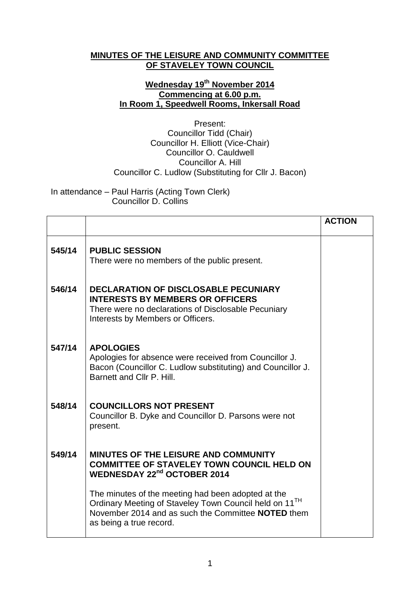## **MINUTES OF THE LEISURE AND COMMUNITY COMMITTEE OF STAVELEY TOWN COUNCIL**

## **Wednesday 19th November 2014 Commencing at 6.00 p.m. In Room 1, Speedwell Rooms, Inkersall Road**

Present: Councillor Tidd (Chair) Councillor H. Elliott (Vice-Chair) Councillor O. Cauldwell Councillor A. Hill Councillor C. Ludlow (Substituting for Cllr J. Bacon)

In attendance – Paul Harris (Acting Town Clerk) Councillor D. Collins

|        |                                                                                                                                                                                                           | <b>ACTION</b> |
|--------|-----------------------------------------------------------------------------------------------------------------------------------------------------------------------------------------------------------|---------------|
| 545/14 | <b>PUBLIC SESSION</b><br>There were no members of the public present.                                                                                                                                     |               |
| 546/14 | <b>DECLARATION OF DISCLOSABLE PECUNIARY</b><br><b>INTERESTS BY MEMBERS OR OFFICERS</b><br>There were no declarations of Disclosable Pecuniary<br>Interests by Members or Officers.                        |               |
| 547/14 | <b>APOLOGIES</b><br>Apologies for absence were received from Councillor J.<br>Bacon (Councillor C. Ludlow substituting) and Councillor J.<br>Barnett and Cllr P. Hill.                                    |               |
| 548/14 | <b>COUNCILLORS NOT PRESENT</b><br>Councillor B. Dyke and Councillor D. Parsons were not<br>present.                                                                                                       |               |
| 549/14 | <b>MINUTES OF THE LEISURE AND COMMUNITY</b><br><b>COMMITTEE OF STAVELEY TOWN COUNCIL HELD ON</b><br><b>WEDNESDAY 22nd OCTOBER 2014</b>                                                                    |               |
|        | The minutes of the meeting had been adopted at the<br>Ordinary Meeting of Staveley Town Council held on 11 <sup>TH</sup><br>November 2014 and as such the Committee NOTED them<br>as being a true record. |               |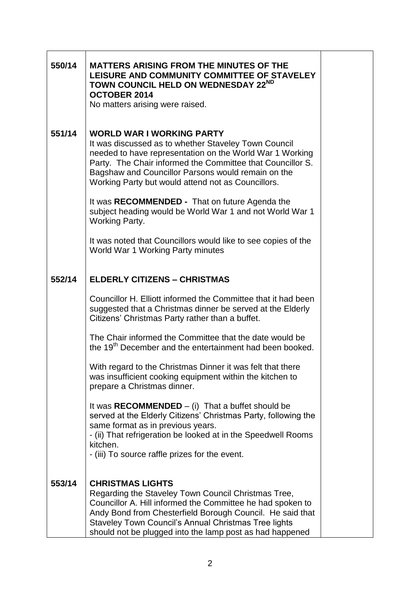| 550/14 | <b>MATTERS ARISING FROM THE MINUTES OF THE</b><br>LEISURE AND COMMUNITY COMMITTEE OF STAVELEY<br>TOWN COUNCIL HELD ON WEDNESDAY 22ND<br><b>OCTOBER 2014</b><br>No matters arising were raised.                                                                                                                                 |
|--------|--------------------------------------------------------------------------------------------------------------------------------------------------------------------------------------------------------------------------------------------------------------------------------------------------------------------------------|
| 551/14 | <b>WORLD WAR I WORKING PARTY</b><br>It was discussed as to whether Staveley Town Council<br>needed to have representation on the World War 1 Working<br>Party. The Chair informed the Committee that Councillor S.<br>Bagshaw and Councillor Parsons would remain on the<br>Working Party but would attend not as Councillors. |
|        | It was RECOMMENDED - That on future Agenda the<br>subject heading would be World War 1 and not World War 1<br><b>Working Party.</b>                                                                                                                                                                                            |
|        | It was noted that Councillors would like to see copies of the<br>World War 1 Working Party minutes                                                                                                                                                                                                                             |
| 552/14 | <b>ELDERLY CITIZENS - CHRISTMAS</b>                                                                                                                                                                                                                                                                                            |
|        | Councillor H. Elliott informed the Committee that it had been<br>suggested that a Christmas dinner be served at the Elderly<br>Citizens' Christmas Party rather than a buffet.                                                                                                                                                 |
|        | The Chair informed the Committee that the date would be<br>the 19 <sup>th</sup> December and the entertainment had been booked.                                                                                                                                                                                                |
|        | With regard to the Christmas Dinner it was felt that there<br>was insufficient cooking equipment within the kitchen to<br>prepare a Christmas dinner.                                                                                                                                                                          |
|        | It was RECOMMENDED $-$ (i) That a buffet should be<br>served at the Elderly Citizens' Christmas Party, following the<br>same format as in previous years.<br>- (ii) That refrigeration be looked at in the Speedwell Rooms<br>kitchen.<br>- (iii) To source raffle prizes for the event.                                       |
| 553/14 | <b>CHRISTMAS LIGHTS</b><br>Regarding the Staveley Town Council Christmas Tree,<br>Councillor A. Hill informed the Committee he had spoken to<br>Andy Bond from Chesterfield Borough Council. He said that<br>Staveley Town Council's Annual Christmas Tree lights<br>should not be plugged into the lamp post as had happened  |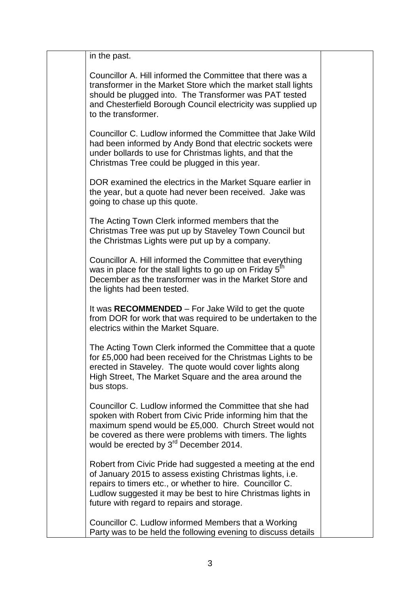| in the past.                                                                                                                                                                                                                                                                                        |  |
|-----------------------------------------------------------------------------------------------------------------------------------------------------------------------------------------------------------------------------------------------------------------------------------------------------|--|
| Councillor A. Hill informed the Committee that there was a<br>transformer in the Market Store which the market stall lights<br>should be plugged into. The Transformer was PAT tested<br>and Chesterfield Borough Council electricity was supplied up<br>to the transformer.                        |  |
| Councillor C. Ludlow informed the Committee that Jake Wild<br>had been informed by Andy Bond that electric sockets were<br>under bollards to use for Christmas lights, and that the<br>Christmas Tree could be plugged in this year.                                                                |  |
| DOR examined the electrics in the Market Square earlier in<br>the year, but a quote had never been received. Jake was<br>going to chase up this quote.                                                                                                                                              |  |
| The Acting Town Clerk informed members that the<br>Christmas Tree was put up by Staveley Town Council but<br>the Christmas Lights were put up by a company.                                                                                                                                         |  |
| Councillor A. Hill informed the Committee that everything<br>was in place for the stall lights to go up on Friday 5 <sup>th</sup><br>December as the transformer was in the Market Store and<br>the lights had been tested.                                                                         |  |
| It was RECOMMENDED – For Jake Wild to get the quote<br>from DOR for work that was required to be undertaken to the<br>electrics within the Market Square.                                                                                                                                           |  |
| The Acting Town Clerk informed the Committee that a quote<br>for £5,000 had been received for the Christmas Lights to be<br>erected in Staveley. The quote would cover lights along<br>High Street, The Market Square and the area around the<br>bus stops.                                         |  |
| Councillor C. Ludlow informed the Committee that she had<br>spoken with Robert from Civic Pride informing him that the<br>maximum spend would be £5,000. Church Street would not<br>be covered as there were problems with timers. The lights<br>would be erected by 3 <sup>rd</sup> December 2014. |  |
| Robert from Civic Pride had suggested a meeting at the end<br>of January 2015 to assess existing Christmas lights, i.e.<br>repairs to timers etc., or whether to hire. Councillor C.<br>Ludlow suggested it may be best to hire Christmas lights in<br>future with regard to repairs and storage.   |  |
| Councillor C. Ludlow informed Members that a Working<br>Party was to be held the following evening to discuss details                                                                                                                                                                               |  |